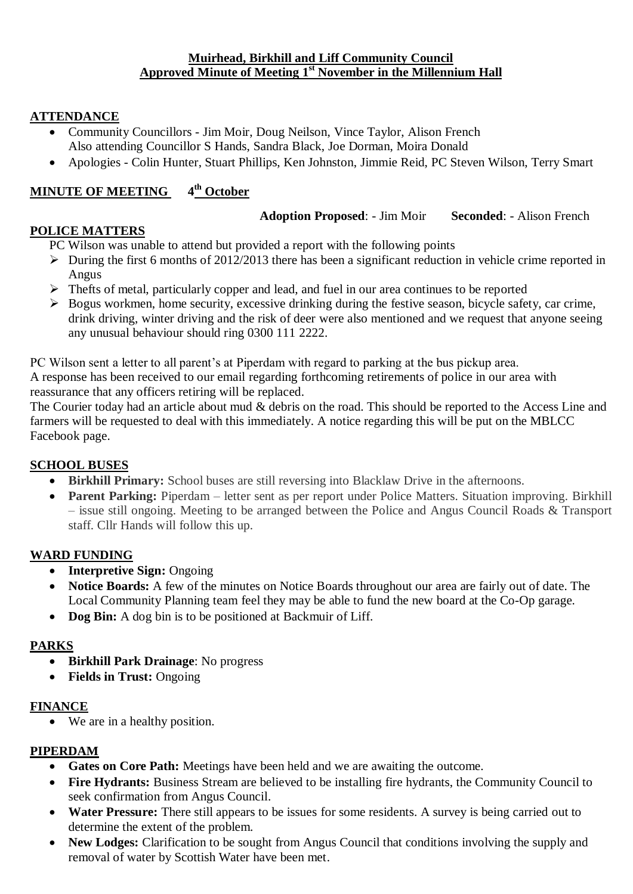#### **Muirhead, Birkhill and Liff Community Council Approved Minute of Meeting 1 st November in the Millennium Hall**

# **ATTENDANCE**

- Community Councillors Jim Moir, Doug Neilson, Vince Taylor, Alison French Also attending Councillor S Hands, Sandra Black, Joe Dorman, Moira Donald
- Apologies Colin Hunter, Stuart Phillips, Ken Johnston, Jimmie Reid, PC Steven Wilson, Terry Smart

#### **MINUTE OF MEETING 4 th October**

#### **Adoption Proposed**: - Jim Moir **Seconded**: - Alison French

#### **POLICE MATTERS**

PC Wilson was unable to attend but provided a report with the following points

- $\triangleright$  During the first 6 months of 2012/2013 there has been a significant reduction in vehicle crime reported in Angus
- $\triangleright$  Thefts of metal, particularly copper and lead, and fuel in our area continues to be reported
- $\triangleright$  Bogus workmen, home security, excessive drinking during the festive season, bicycle safety, car crime, drink driving, winter driving and the risk of deer were also mentioned and we request that anyone seeing any unusual behaviour should ring 0300 111 2222.

PC Wilson sent a letter to all parent's at Piperdam with regard to parking at the bus pickup area. A response has been received to our email regarding forthcoming retirements of police in our area with

reassurance that any officers retiring will be replaced.

The Courier today had an article about mud & debris on the road. This should be reported to the Access Line and farmers will be requested to deal with this immediately. A notice regarding this will be put on the MBLCC Facebook page.

# **SCHOOL BUSES**

- **Birkhill Primary:** School buses are still reversing into Blacklaw Drive in the afternoons.
- Parent Parking: Piperdam letter sent as per report under Police Matters. Situation improving. Birkhill – issue still ongoing. Meeting to be arranged between the Police and Angus Council Roads & Transport staff. Cllr Hands will follow this up.

# **WARD FUNDING**

- **Interpretive Sign:** Ongoing
- **Notice Boards:** A few of the minutes on Notice Boards throughout our area are fairly out of date. The Local Community Planning team feel they may be able to fund the new board at the Co-Op garage.
- **Dog Bin:** A dog bin is to be positioned at Backmuir of Liff.

# **PARKS**

- **Birkhill Park Drainage**: No progress
- **Fields in Trust:** Ongoing

#### **FINANCE**

We are in a healthy position.

# **PIPERDAM**

- **Gates on Core Path:** Meetings have been held and we are awaiting the outcome.
- Fire Hydrants: Business Stream are believed to be installing fire hydrants, the Community Council to seek confirmation from Angus Council.
- Water Pressure: There still appears to be issues for some residents. A survey is being carried out to determine the extent of the problem.
- New Lodges: Clarification to be sought from Angus Council that conditions involving the supply and removal of water by Scottish Water have been met.